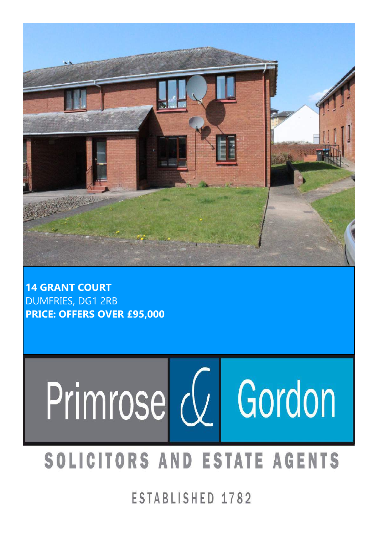

**14 GRANT COURT** DUMFRIES, DG1 2RB **PRICE: OFFERS OVER £95,000**

555 555 5555

## name voor ver 555 555 5555 555 555 5555 555 555 5555 555 555 5555 555 555 5555 555 555 5555 Name Name Name 555 555 5555 555 555 5555 555 555 5555

# SOLICITORS AND ESTATE AGENTS

ESTABLISHED 1782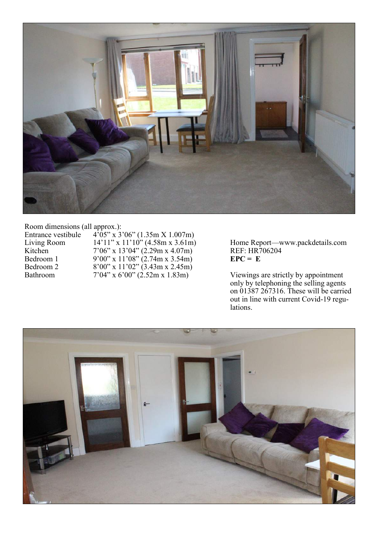

# Room dimensions (all approx.):

| Entrance vestibule | $4'05''$ x $3'06''$ (1.35m X 1.007m)  |                                      |
|--------------------|---------------------------------------|--------------------------------------|
| Living Room        | $14'11''$ x $11'10''$ (4.58m x 3.61m) | Home Report—www.packdetails.com      |
| Kitchen            | $7'06''$ x 13'04" (2.29m x 4.07m)     | <b>REF: HR706204</b>                 |
| Bedroom 1          | $9'00''$ x 11'08" (2.74m x 3.54m)     | $EPC = E$                            |
| Bedroom 2          | $8'00''$ x 11'02" (3.43m x 2.45m)     |                                      |
| <b>Bathroom</b>    | $7'04''$ x 6'00" (2.52m x 1.83m)      | Viewings are strictly by appointment |

only by telephoning the selling agents on 01387 267316. These will be carried out in line with current Covid-19 regulations.

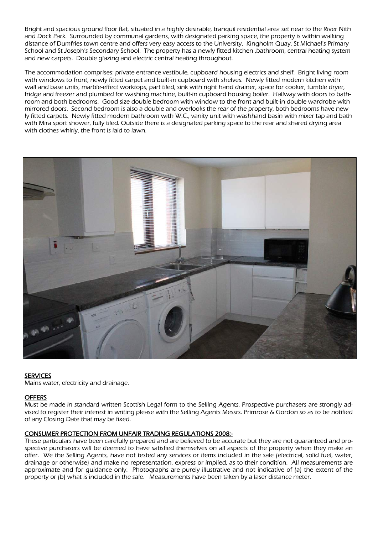Bright and spacious ground floor flat, situated in a highly desirable, tranquil residential area set near to the River Nith and Dock Park. Surrounded by communal gardens, with designated parking space, the property is within walking distance of Dumfries town centre and offers very easy access to the University, Kingholm Quay, St Michael's Primary School and St Joseph's Secondary School. The property has a newly fitted kitchen ,bathroom, central heating system and new carpets. Double glazing and electric central heating throughout.

The accommodation comprises: private entrance vestibule, cupboard housing electrics and shelf. Bright living room with windows to front, newly fitted carpet and built-in cupboard with shelves. Newly fitted modern kitchen with wall and base units, marble-effect worktops, part tiled, sink with right hand drainer, space for cooker, tumble dryer, fridge and freezer and plumbed for washing machine, built-in cupboard housing boiler. Hallway with doors to bathroom and both bedrooms. Good size double bedroom with window to the front and built-in double wardrobe with mirrored doors. Second bedroom is also a double and overlooks the rear of the property, both bedrooms have newly fitted carpets. Newly fitted modern bathroom with W.C., vanity unit with washhand basin with mixer tap and bath with Mira sport shower, fully tiled. Outside there is a designated parking space to the rear and shared drying area with clothes whirly, the front is laid to lawn.



#### **SERVICES**

Mains water, electricity and drainage.

### **OFFERS**

Must be made in standard written Scottish Legal form to the Selling Agents. Prospective purchasers are strongly advised to register their interest in writing please with the Selling Agents Messrs. Primrose & Gordon so as to be notified of any Closing Date that may be fixed.

#### CONSUMER PROTECTION FROM UNFAIR TRADING REGULATIONS 2008:-

These particulars have been carefully prepared and are believed to be accurate but they are not guaranteed and prospective purchasers will be deemed to have satisfied themselves on all aspects of the property when they make an offer. We the Selling Agents, have not tested any services or items included in the sale (electrical, solid fuel, water, drainage or otherwise) and make no representation, express or implied, as to their condition. All measurements are approximate and for guidance only. Photographs are purely illustrative and not indicative of (a) the extent of the property or (b) what is included in the sale. Measurements have been taken by a laser distance meter.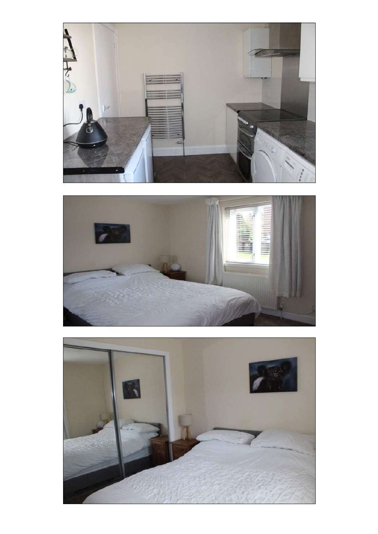



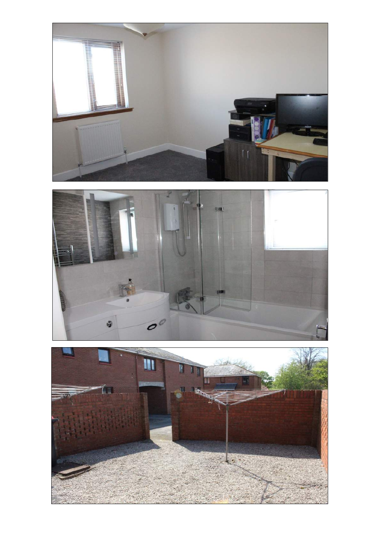